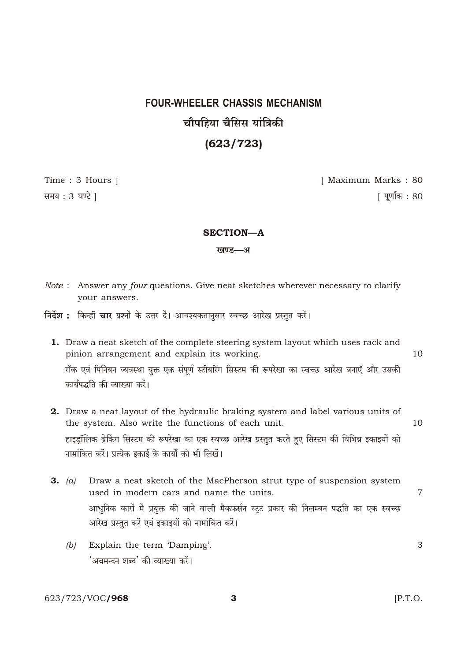# **FOUR-WHEELER CHASSIS MECHANISM** चौपहिया चैसिस यांत्रिकी  $(623/723)$

Time: 3 Hours | समय: 3 घण्टे ।

[ Maximum Marks: 80 <u>|</u> पूर्णांक : 80

#### **SECTION-A**

#### खण्ड—अ

- Note: Answer any four questions. Give neat sketches wherever necessary to clarify your answers.
- निर्देश : किन्हीं चार प्रश्नों के उत्तर दें। आवश्यकतानसार स्वच्छ आरेख प्रस्तत करें।
	- 1. Draw a neat sketch of the complete steering system layout which uses rack and pinion arrangement and explain its working.  $10$ रॉक एवं पिनियन व्यवस्था युक्त एक संपूर्ण स्टीयरिंग सिस्टम की रूपरेखा का स्वच्छ आरेख बनाएँ और उसकी कार्यपद्धति की व्याख्या करें।
	- 2. Draw a neat layout of the hydraulic braking system and label various units of the system. Also write the functions of each unit. 10 हाइड्रॉलिक ब्रेकिंग सिस्टम की रूपरेखा का एक स्वच्छ आरेख प्रस्तुत करते हुए सिस्टम की विभिन्न इकाइयों को नामांकित करें। प्रत्येक इकाई के कार्यों को भी लिखें।
	- $3. (a)$ Draw a neat sketch of the MacPherson strut type of suspension system used in modern cars and name the units. आधुनिक कारों में प्रयुक्त की जाने वाली मैकफर्सन स्ट्ट प्रकार की निलम्बन पद्धति का एक स्वच्छ आरेख प्रस्तुत करें एवं इकाइयों को नामांकित करें।
		- Explain the term 'Damping'. 3  $(b)$ 'अवमन्दन शब्द' की व्याख्या करें।

623/723/VOC/968

3

 $[P.T.O.$ 

 $\overline{7}$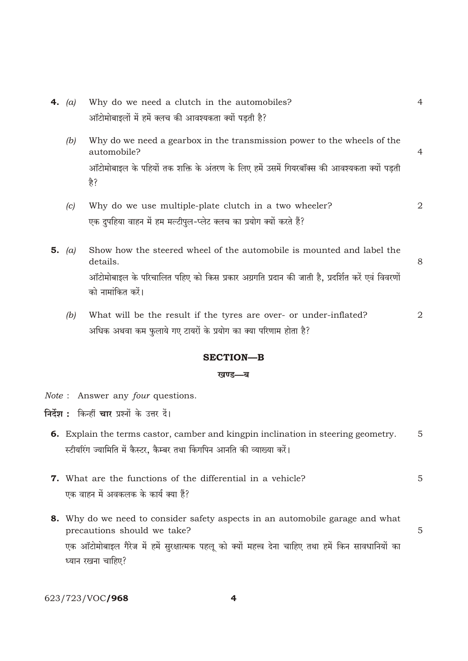| <b>4.</b> (a) | Why do we need a clutch in the automobiles?                                                                         | 4 |
|---------------|---------------------------------------------------------------------------------------------------------------------|---|
|               | ऑटोमोबाइलों में हमें क्लच की आवश्यकता क्यों पड़ती है?                                                               |   |
| (b)           | Why do we need a gearbox in the transmission power to the wheels of the<br>automobile?                              | 4 |
|               | ऑटोमोबाइल के पहियों तक शक्ति के अंतरण के लिए हमें उसमें गियरबॉक्स की आवश्यकता क्यों पड़ती<br>है?                    |   |
| (c)           | Why do we use multiple-plate clutch in a two wheeler?                                                               | 2 |
|               | एक दुपहिया वाहन में हम मल्टीपुल-प्लेट क्लच का प्रयोग क्यों करते हैं?                                                |   |
| 5. $(a)$      | Show how the steered wheel of the automobile is mounted and label the<br>details.                                   | 8 |
|               | ऑटोमोबाइल के परिचालित पहिए को किस प्रकार अग्रगति प्रदान की जाती है, प्रदर्शित करें एवं विवरणों<br>को नामांकित करें। |   |
| (b)           | What will be the result if the tyres are over- or under-inflated?                                                   | 2 |
|               | अधिक अथवा कम फुलाये गए टायरों के प्रयोग का क्या परिणाम होता है?                                                     |   |
|               | <b>SECTION-B</b>                                                                                                    |   |
|               | खण्ड—ब                                                                                                              |   |
|               | <i>Note</i> : Answer any <i>four</i> questions.                                                                     |   |
|               | निर्देश : किन्हीं चार प्रश्नों के उत्तर दें।                                                                        |   |
|               | 6. Explain the terms castor, camber and kingpin inclination in steering geometry.                                   | 5 |
|               | स्टीयरिंग ज्यामिति में कैस्टर, कैम्बर तथा किंगपिन आनति की व्याख्या करें।                                            |   |
|               | <b>7.</b> What are the functions of the differential in a vehicle?                                                  | 5 |
|               | एक वाहन में अवकलक के कार्य क्या हैं?                                                                                |   |
|               | <b>8.</b> Why do we need to consider safety aspects in an automobile garage and what<br>precautions should we take? | 5 |

एक ऑटोमोबाइल गैरेज में हमें सुरक्षात्मक पहलू को क्यों महत्त्व देना चाहिए तथा हमें किन सावधानियों का ध्यान रखना चाहिए?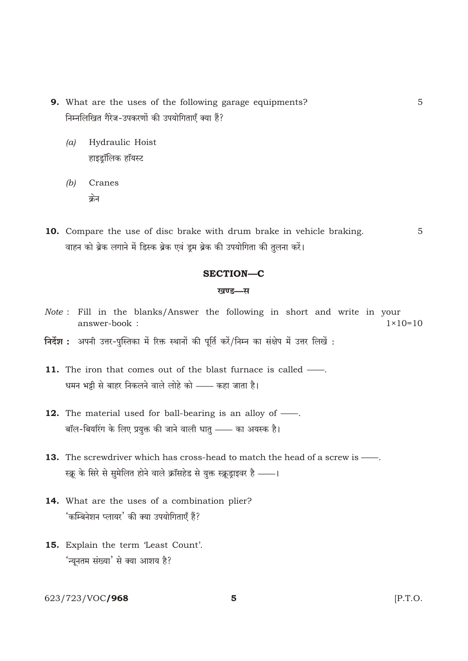- 9. What are the uses of the following garage equipments? निम्नलिखित गैरेज-उपकरणों की उपयोगिताएँ क्या हैं?
	- Hydraulic Hoist  $(a)$ हाइड्रॉलिक हॉयस्ट
	- $(b)$ Cranes क्रेन
- 10. Compare the use of disc brake with drum brake in vehicle braking. 5 वाहन को ब्रेक लगाने में डिस्क ब्रेक एवं डूम ब्रेक की उपयोगिता की तुलना करें।

#### **SECTION-C**

#### खण्ड—स

- Note: Fill in the blanks/Answer the following in short and write in your answer-book:  $1 \times 10 = 10$
- निर्देश : अपनी उत्तर-पुस्तिका में रिक्त स्थानों की पूर्ति करें/निम्न का संक्षेप में उत्तर लिखें :
- 11. The iron that comes out of the blast furnace is called -धमन भट्टी से बाहर निकलने वाले लोहे को —— कहा जाता है।
- 12. The material used for ball-bearing is an alloy of  $\frac{1}{\sqrt{1-\frac{1}{n}}}$ . बॉल-बियरिंग के लिए प्रयुक्त की जाने वाली धातु —— का अयस्क है।
- 13. The screwdriver which has cross-head to match the head of a screw is -स्क्रू के सिरे से सुमेलित होने वाले क्रॉसहेड से युक्त स्क्रूड्राइवर है - |
- 14. What are the uses of a combination plier? 'कम्बिनेशन प्लायर' की क्या उपयोगिताएँ हैं?
- 15. Explain the term 'Least Count'. 'न्यूनतम संख्या' से क्या आशय है?

623/723/VOC/968

 $\overline{5}$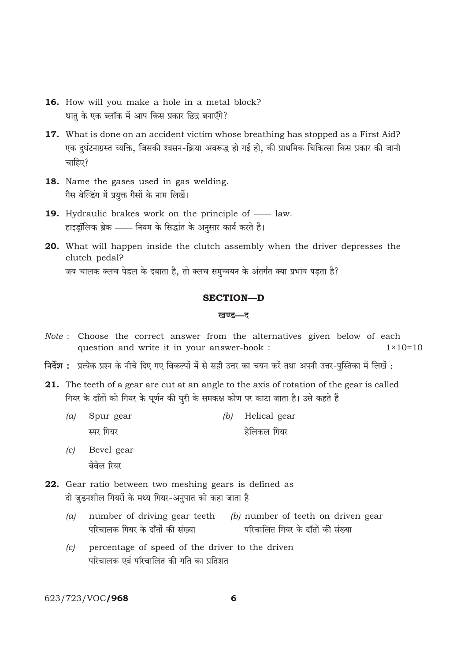- 16. How will you make a hole in a metal block? धात के एक ब्लॉक में आप किस प्रकार छिद्र बनाएँगे?
- 17. What is done on an accident victim whose breathing has stopped as a First Aid? एक दुर्घटनाग्रस्त व्यक्ति, जिसकी श्वसन-क्रिया अवरूद्ध हो गई हो, की प्राथमिक चिकित्सा किस प्रकार की जानी चाहिए?
- 18. Name the gases used in gas welding. गैस वेल्डिंग में प्रयुक्त गैसों के नाम लिखें।
- 19. Hydraulic brakes work on the principle of law. हाइड़ॉलिक ब्रेक —— नियम के सिद्धांत के अनुसार कार्य करते हैं।
- 20. What will happen inside the clutch assembly when the driver depresses the clutch pedal? जब चालक क्लच पेडल के दबाता है, तो क्लच समुच्चयन के अंतर्गत क्या प्रभाव पडता है?

## **SECTION-D**

### खण्ड—ट

- Note: Choose the correct answer from the alternatives given below of each question and write it in your answer-book :  $1 \times 10 = 10$
- निर्देश : प्रत्येक प्रश्न के नीचे दिए गए विकल्पों में से सही उत्तर का चयन करें तथा अपनी उत्तर-पुस्तिका में लिखें :
- 21. The teeth of a gear are cut at an angle to the axis of rotation of the gear is called गियर के दाँतों को गियर के घूर्णन की घुरी के समकक्ष कोण पर काटा जाता है। उसे कहते हैं
	- Spur gear  $(b)$  Helical gear  $(a)$ स्पर गियर हेलिकल गियर
	- Bevel gear  $(c)$ बेवेल रियर
- 22. Gear ratio between two meshing gears is defined as दो जुड़नशील गियरों के मध्य गियर-अनुपात को कहा जाता है
	- number of driving gear teeth  $(b)$  number of teeth on driven gear  $(a)$ परिचालक गियर के दाँतों की संख्या परिचालित गियर के दाँतों की संख्या
	- percentage of speed of the driver to the driven  $(c)$ परिचालक एवं परिचालित की गति का प्रतिशत

623/723/VOC/968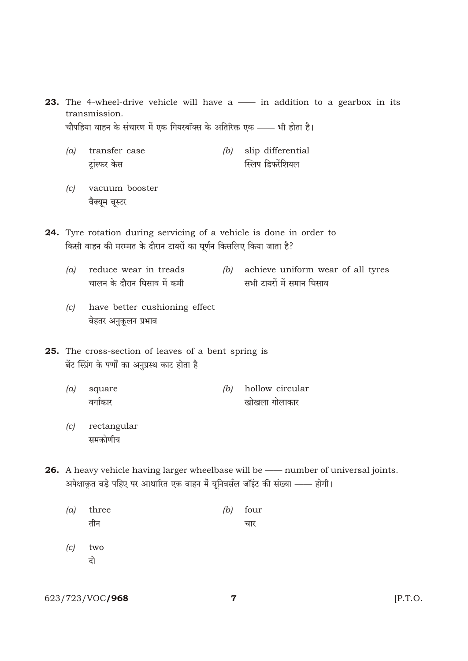**23.** The 4-wheel-drive vehicle will have a — in addition to a gearbox in its transmission. चौपहिया वाहन के संचारण में एक गियरबॉक्स के अतिरिक्त एक —— भी होता है।

- $(a)$  transfer case  $(b)$  slip differential स्लिप डिफरेंशियल ट्रांस्फर केस
- $\left( c\right)$ vacuum booster वैक्यूम बूस्टर
- 24. Tyre rotation during servicing of a vehicle is done in order to किसी वाहन की मरम्मत के दौरान टायरों का घूर्णन किसलिए किया जाता है?
	- reduce wear in treads (b) achieve uniform wear of all tyres  $(a)$ चालन के दौरान घिसाव में कमी सभी टायरों में समान घिसाव
	- (c) have better cushioning effect बेहतर अनुकूलन प्रभाव
- 25. The cross-section of leaves of a bent spring is बेंट स्प्रिंग के पर्णों का अनुप्रस्थ काट होता है
	- $(a)$ square  $(b)$  hollow circular खोखला गोलाकार वर्गाकार
	- rectangular  $\left( c\right)$ समकोणीय

26. A heavy vehicle having larger wheelbase will be - number of universal joints. अपेक्षाकृत बड़े पहिए पर आधारित एक वाहन में यूनिवर्सल जॉइंट की संख्या —— होगी।

- $(a)$ three  $(b)$  four तीन चार
- $(c)$ two दो

623/723/VOC/968